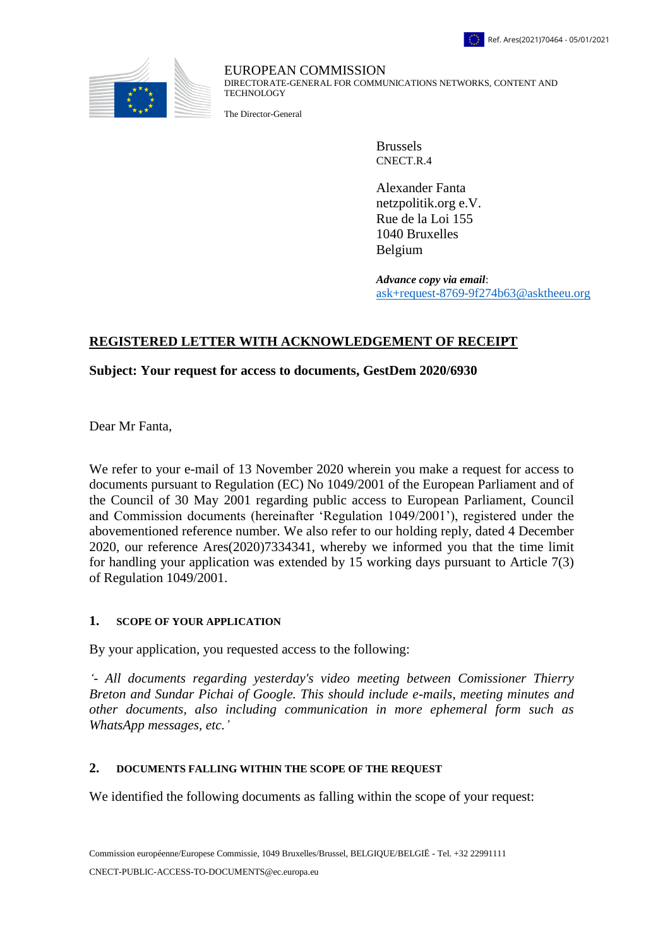



EUROPEAN COMMISSION DIRECTORATE-GENERAL FOR COMMUNICATIONS NETWORKS, CONTENT AND TECHNOLOGY

The Director-General

Brussels CNECT.R.4

Alexander Fanta netzpolitik.org e.V. Rue de la Loi 155 1040 Bruxelles Belgium

*Advance copy via email*: [ask+request-8769-9f274b63@asktheeu.org](mailto:xxxxxxxxxxxxxxxxxxxxxxxxx@xxxxxxxx.xxx)

# **REGISTERED LETTER WITH ACKNOWLEDGEMENT OF RECEIPT**

## **Subject: Your request for access to documents, GestDem 2020/6930**

Dear Mr Fanta,

We refer to your e-mail of 13 November 2020 wherein you make a request for access to documents pursuant to Regulation (EC) No 1049/2001 of the European Parliament and of the Council of 30 May 2001 regarding public access to European Parliament, Council and Commission documents (hereinafter 'Regulation 1049/2001'), registered under the abovementioned reference number. We also refer to our holding reply, dated 4 December 2020, our reference Ares(2020)7334341, whereby we informed you that the time limit for handling your application was extended by 15 working days pursuant to Article 7(3) of Regulation 1049/2001.

#### **1. SCOPE OF YOUR APPLICATION**

By your application, you requested access to the following:

*'- All documents regarding yesterday's video meeting between Comissioner Thierry Breton and Sundar Pichai of Google. This should include e-mails, meeting minutes and other documents, also including communication in more ephemeral form such as WhatsApp messages, etc.'*

#### **2. DOCUMENTS FALLING WITHIN THE SCOPE OF THE REQUEST**

We identified the following documents as falling within the scope of your request: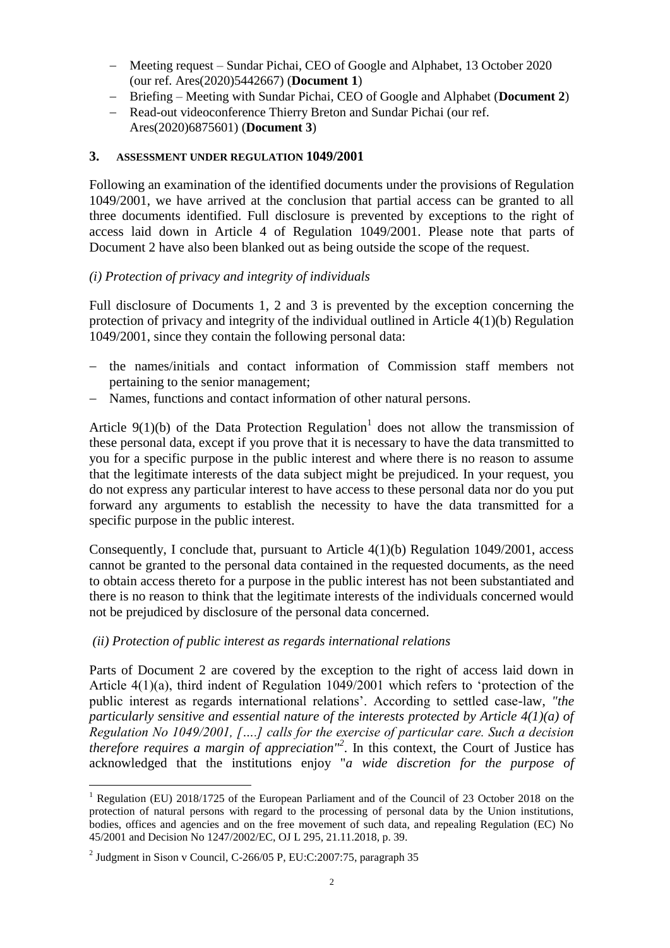- Meeting request Sundar Pichai, CEO of Google and Alphabet, 13 October 2020 (our ref. Ares(2020)5442667) (**Document 1**)
- Briefing Meeting with Sundar Pichai, CEO of Google and Alphabet (**Document 2**)
- Read-out videoconference Thierry Breton and Sundar Pichai (our ref. Ares(2020)6875601) (**Document 3**)

#### **3. ASSESSMENT UNDER REGULATION 1049/2001**

Following an examination of the identified documents under the provisions of Regulation 1049/2001, we have arrived at the conclusion that partial access can be granted to all three documents identified. Full disclosure is prevented by exceptions to the right of access laid down in Article 4 of Regulation 1049/2001. Please note that parts of Document 2 have also been blanked out as being outside the scope of the request.

## *(i) Protection of privacy and integrity of individuals*

Full disclosure of Documents 1, 2 and 3 is prevented by the exception concerning the protection of privacy and integrity of the individual outlined in Article 4(1)(b) Regulation 1049/2001, since they contain the following personal data:

- the names/initials and contact information of Commission staff members not pertaining to the senior management;
- Names, functions and contact information of other natural persons.

Article  $9(1)(b)$  of the Data Protection Regulation<sup>1</sup> does not allow the transmission of these personal data, except if you prove that it is necessary to have the data transmitted to you for a specific purpose in the public interest and where there is no reason to assume that the legitimate interests of the data subject might be prejudiced. In your request, you do not express any particular interest to have access to these personal data nor do you put forward any arguments to establish the necessity to have the data transmitted for a specific purpose in the public interest.

Consequently, I conclude that, pursuant to Article  $4(1)(b)$  Regulation 1049/2001, access cannot be granted to the personal data contained in the requested documents, as the need to obtain access thereto for a purpose in the public interest has not been substantiated and there is no reason to think that the legitimate interests of the individuals concerned would not be prejudiced by disclosure of the personal data concerned.

#### *(ii) Protection of public interest as regards international relations*

Parts of Document 2 are covered by the exception to the right of access laid down in Article 4(1)(a), third indent of Regulation 1049/2001 which refers to 'protection of the public interest as regards international relations'. According to settled case-law, *"the particularly sensitive and essential nature of the interests protected by Article 4(1)(a) of Regulation No 1049/2001, [….] calls for the exercise of particular care. Such a decision therefore requires a margin of appreciation"<sup>2</sup>* . In this context, the Court of Justice has acknowledged that the institutions enjoy "*a wide discretion for the purpose of* 

 $\overline{a}$ 

<sup>&</sup>lt;sup>1</sup> Regulation (EU) 2018/1725 of the European Parliament and of the Council of 23 October 2018 on the protection of natural persons with regard to the processing of personal data by the Union institutions, bodies, offices and agencies and on the free movement of such data, and repealing Regulation (EC) No 45/2001 and Decision No 1247/2002/EC, OJ L 295, 21.11.2018, p. 39.

<sup>&</sup>lt;sup>2</sup> Judgment in Sison v Council, C-266/05 P, EU:C:2007:75, paragraph 35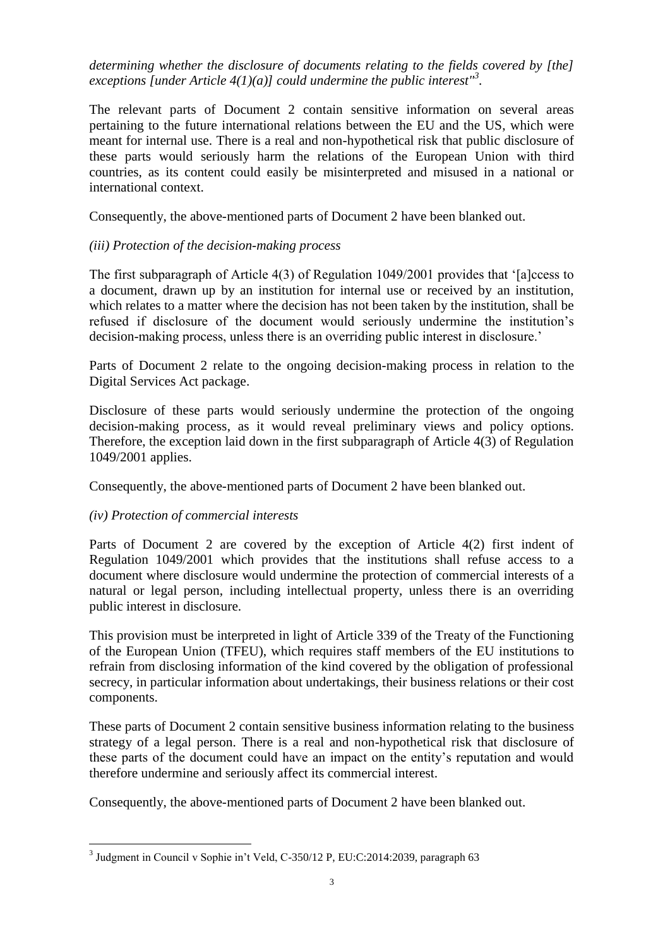*determining whether the disclosure of documents relating to the fields covered by [the] exceptions [under Article 4(1)(a)] could undermine the public interest"<sup>3</sup> .*

The relevant parts of Document 2 contain sensitive information on several areas pertaining to the future international relations between the EU and the US, which were meant for internal use. There is a real and non-hypothetical risk that public disclosure of these parts would seriously harm the relations of the European Union with third countries, as its content could easily be misinterpreted and misused in a national or international context.

Consequently, the above-mentioned parts of Document 2 have been blanked out.

## *(iii) Protection of the decision-making process*

The first subparagraph of Article 4(3) of Regulation 1049/2001 provides that '[a]ccess to a document, drawn up by an institution for internal use or received by an institution, which relates to a matter where the decision has not been taken by the institution, shall be refused if disclosure of the document would seriously undermine the institution's decision-making process, unless there is an overriding public interest in disclosure.'

Parts of Document 2 relate to the ongoing decision-making process in relation to the Digital Services Act package.

Disclosure of these parts would seriously undermine the protection of the ongoing decision-making process, as it would reveal preliminary views and policy options. Therefore, the exception laid down in the first subparagraph of Article 4(3) of Regulation 1049/2001 applies.

Consequently, the above-mentioned parts of Document 2 have been blanked out.

## *(iv) Protection of commercial interests*

 $\overline{a}$ 

Parts of Document 2 are covered by the exception of Article 4(2) first indent of Regulation 1049/2001 which provides that the institutions shall refuse access to a document where disclosure would undermine the protection of commercial interests of a natural or legal person, including intellectual property, unless there is an overriding public interest in disclosure.

This provision must be interpreted in light of Article 339 of the Treaty of the Functioning of the European Union (TFEU), which requires staff members of the EU institutions to refrain from disclosing information of the kind covered by the obligation of professional secrecy, in particular information about undertakings, their business relations or their cost components.

These parts of Document 2 contain sensitive business information relating to the business strategy of a legal person. There is a real and non-hypothetical risk that disclosure of these parts of the document could have an impact on the entity's reputation and would therefore undermine and seriously affect its commercial interest.

Consequently, the above-mentioned parts of Document 2 have been blanked out.

<sup>3</sup> Judgment in Council v Sophie in't Veld, C-350/12 P, EU:C:2014:2039, paragraph 63